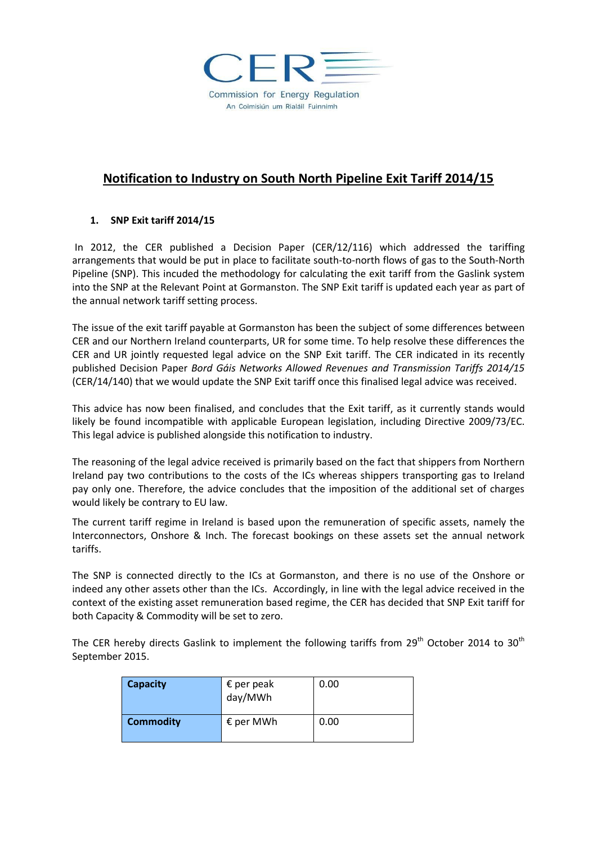

## **Notification to Industry on South North Pipeline Exit Tariff 2014/15**

## **1. SNP Exit tariff 2014/15**

In 2012, the CER published a Decision Paper (CER/12/116) which addressed the tariffing arrangements that would be put in place to facilitate south-to-north flows of gas to the South-North Pipeline (SNP). This incuded the methodology for calculating the exit tariff from the Gaslink system into the SNP at the Relevant Point at Gormanston. The SNP Exit tariff is updated each year as part of the annual network tariff setting process.

The issue of the exit tariff payable at Gormanston has been the subject of some differences between CER and our Northern Ireland counterparts, UR for some time. To help resolve these differences the CER and UR jointly requested legal advice on the SNP Exit tariff. The CER indicated in its recently published Decision Paper *Bord Gáis Networks Allowed Revenues and Transmission Tariffs 2014/15* (CER/14/140) that we would update the SNP Exit tariff once this finalised legal advice was received.

This advice has now been finalised, and concludes that the Exit tariff, as it currently stands would likely be found incompatible with applicable European legislation, including Directive 2009/73/EC. This legal advice is published alongside this notification to industry.

The reasoning of the legal advice received is primarily based on the fact that shippers from Northern Ireland pay two contributions to the costs of the ICs whereas shippers transporting gas to Ireland pay only one. Therefore, the advice concludes that the imposition of the additional set of charges would likely be contrary to EU law.

The current tariff regime in Ireland is based upon the remuneration of specific assets, namely the Interconnectors, Onshore & Inch. The forecast bookings on these assets set the annual network tariffs.

The SNP is connected directly to the ICs at Gormanston, and there is no use of the Onshore or indeed any other assets other than the ICs. Accordingly, in line with the legal advice received in the context of the existing asset remuneration based regime, the CER has decided that SNP Exit tariff for both Capacity & Commodity will be set to zero.

The CER hereby directs Gaslink to implement the following tariffs from  $29<sup>th</sup>$  October 2014 to 30<sup>th</sup> September 2015.

| <b>Capacity</b>  | $\epsilon$ per peak<br>day/MWh | 0.00 |
|------------------|--------------------------------|------|
| <b>Commodity</b> | $\epsilon$ per MWh             | 0.00 |